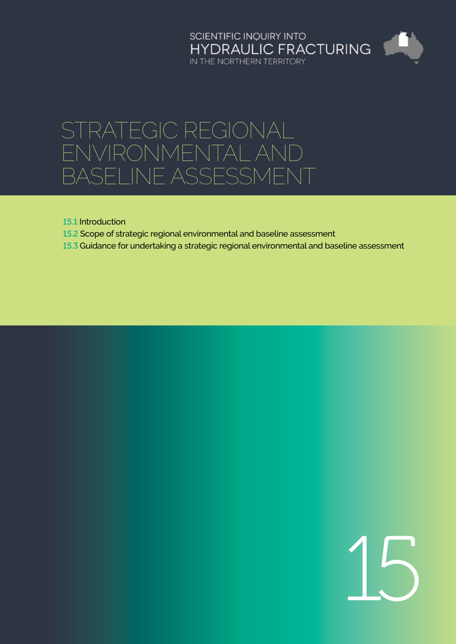# SCIENTIFIC INQUIRY INTO<br>HYDRAULIC FRACTURING<br>IN THE NORTHERN TERRITORY

# STRATEGIC REGIONAL environmental and baseline assessment

15.1 [Introduction](#page-1-0)

- 15.2 [Scope of strategic regional environmental and baseline assessment](#page-2-0)
- 15.3 [Guidance for undertaking a strategic regional environmental and baseline assessment](#page-4-0)

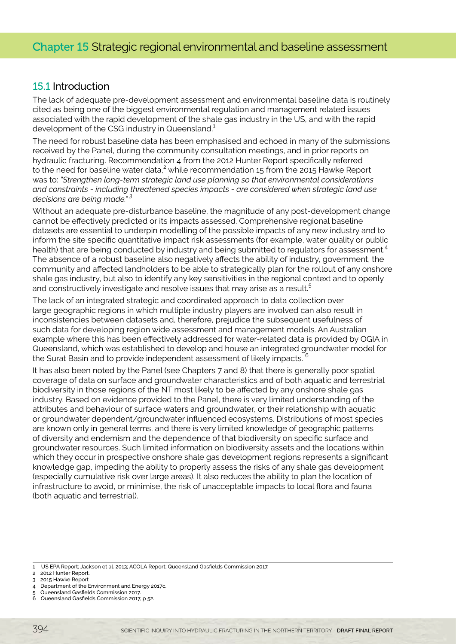# <span id="page-1-0"></span>15.1 Introduction

The lack of adequate pre-development assessment and environmental baseline data is routinely cited as being one of the biggest environmental regulation and management related issues associated with the rapid development of the shale gas industry in the US, and with the rapid development of the CSG industry in Queensland.<sup>1</sup>

The need for robust baseline data has been emphasised and echoed in many of the submissions received by the Panel, during the community consultation meetings, and in prior reports on hydraulic fracturing. Recommendation 4 from the 2012 Hunter Report specifically referred to the need for baseline water data, $^2$  while recommendation 15 from the 2015 Hawke Report was to: *"Strengthen long-term strategic land use planning so that environmental considerations and constraints - including threatened species impacts - are considered when strategic land use decisions are being made." 3*

Without an adequate pre-disturbance baseline, the magnitude of any post-development change cannot be effectively predicted or its impacts assessed. Comprehensive regional baseline datasets are essential to underpin modelling of the possible impacts of any new industry and to inform the site specific quantitative impact risk assessments (for example, water quality or public health) that are being conducted by industry and being submitted to regulators for assessment.<sup>4</sup> The absence of a robust baseline also negatively affects the ability of industry, government, the community and affected landholders to be able to strategically plan for the rollout of any onshore shale gas industry, but also to identify any key sensitivities in the regional context and to openly and constructively investigate and resolve issues that may arise as a result.<sup>5</sup>

The lack of an integrated strategic and coordinated approach to data collection over large geographic regions in which multiple industry players are involved can also result in inconsistencies between datasets and, therefore, prejudice the subsequent usefulness of such data for developing region wide assessment and management models. An Australian example where this has been effectively addressed for water-related data is provided by OGIA in Queensland, which was established to develop and house an integrated groundwater model for the Surat Basin and to provide independent assessment of likely impacts.

It has also been noted by the Panel (see Chapters 7 and 8) that there is generally poor spatial coverage of data on surface and groundwater characteristics and of both aquatic and terrestrial biodiversity in those regions of the NT most likely to be affected by any onshore shale gas industry. Based on evidence provided to the Panel, there is very limited understanding of the attributes and behaviour of surface waters and groundwater, or their relationship with aquatic or groundwater dependent/groundwater influenced ecosystems. Distributions of most species are known only in general terms, and there is very limited knowledge of geographic patterns of diversity and endemism and the dependence of that biodiversity on specific surface and groundwater resources. Such limited information on biodiversity assets and the locations within which they occur in prospective onshore shale gas development regions represents a significant knowledge gap, impeding the ability to properly assess the risks of any shale gas development (especially cumulative risk over large areas). It also reduces the ability to plan the location of infrastructure to avoid, or minimise, the risk of unacceptable impacts to local flora and fauna (both aquatic and terrestrial).

<sup>1</sup> US EPA Report; Jackson et al. 2013; ACOLA Report; Queensland Gasfields Commission 2017.

<sup>2 2012</sup> Hunter Report.

<sup>3 2015</sup> Hawke Report 4 Department of the Environment and Energy 2017c.

<sup>5</sup> Queensland Gasfields Commission 2017.

<sup>6</sup> Queensland Gasfields Commission 2017, p 52.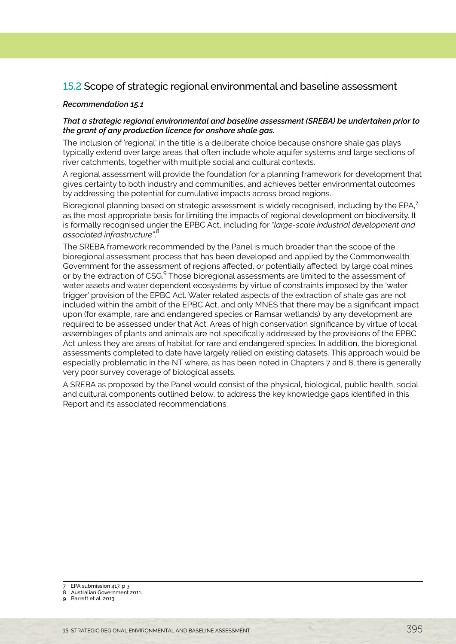# <span id="page-2-0"></span>15.2 Scope of strategic regional environmental and baseline assessment

#### *Recommendation 15.1*

#### *That a strategic regional environmental and baseline assessment (SREBA) be undertaken prior to the grant of any production licence for onshore shale gas.*

The inclusion of 'regional' in the title is a deliberate choice because onshore shale gas plays typically extend over large areas that often include whole aquifer systems and large sections of river catchments, together with multiple social and cultural contexts.

A regional assessment will provide the foundation for a planning framework for development that gives certainty to both industry and communities, and achieves better environmental outcomes by addressing the potential for cumulative impacts across broad regions.

Bioregional planning based on strategic assessment is widely recognised, including by the EPA,<sup>7</sup> as the most appropriate basis for limiting the impacts of regional development on biodiversity. It is formally recognised under the EPBC Act, including for *"large-scale industrial development and associated infrastructure"*. 8

The SREBA framework recommended by the Panel is much broader than the scope of the bioregional assessment process that has been developed and applied by the Commonwealth Government for the assessment of regions affected, or potentially affected, by large coal mines or by the extraction of CSG.<sup>9</sup> Those bioregional assessments are limited to the assessment of water assets and water dependent ecosystems by virtue of constraints imposed by the 'water trigger' provision of the EPBC Act. Water related aspects of the extraction of shale gas are not included within the ambit of the EPBC Act, and only MNES that there may be a significant impact upon (for example, rare and endangered species or Ramsar wetlands) by any development are required to be assessed under that Act. Areas of high conservation significance by virtue of local assemblages of plants and animals are not specifically addressed by the provisions of the EPBC Act unless they are areas of habitat for rare and endangered species. In addition, the bioregional assessments completed to date have largely relied on existing datasets. This approach would be especially problematic in the NT where, as has been noted in Chapters 7 and 8, there is generally very poor survey coverage of biological assets.

A SREBA as proposed by the Panel would consist of the physical, biological, public health, social and cultural components outlined below, to address the key knowledge gaps identified in this Report and its associated recommendations.

9 Barrett et al. 2013.

<sup>7</sup> EPA submission 417, p 3.

<sup>8</sup> Australian Government 2011.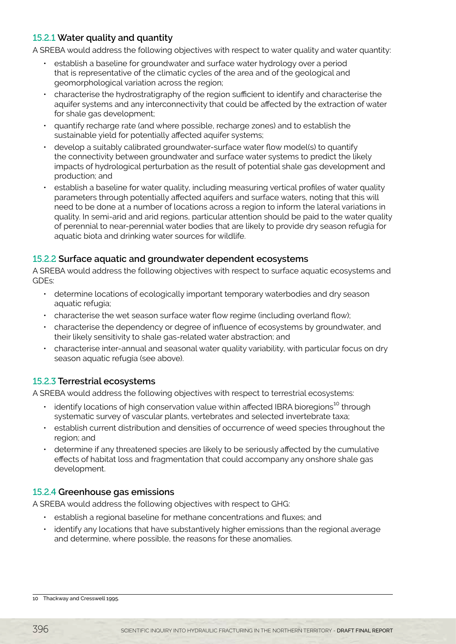# 15.2.1 **Water quality and quantity**

A SREBA would address the following objectives with respect to water quality and water quantity:

- establish a baseline for groundwater and surface water hydrology over a period that is representative of the climatic cycles of the area and of the geological and geomorphological variation across the region;
- characterise the hydrostratigraphy of the region sufficient to identify and characterise the aquifer systems and any interconnectivity that could be affected by the extraction of water for shale gas development;
- quantify recharge rate (and where possible, recharge zones) and to establish the sustainable yield for potentially affected aquifer systems;
- develop a suitably calibrated groundwater-surface water flow model(s) to quantify the connectivity between groundwater and surface water systems to predict the likely impacts of hydrological perturbation as the result of potential shale gas development and production; and
- establish a baseline for water quality, including measuring vertical profiles of water quality parameters through potentially affected aquifers and surface waters, noting that this will need to be done at a number of locations across a region to inform the lateral variations in quality. In semi-arid and arid regions, particular attention should be paid to the water quality of perennial to near-perennial water bodies that are likely to provide dry season refugia for aquatic biota and drinking water sources for wildlife.

### 15.2.2 **Surface aquatic and groundwater dependent ecosystems**

A SREBA would address the following objectives with respect to surface aquatic ecosystems and GDEs:

- determine locations of ecologically important temporary waterbodies and dry season aquatic refugia;
- characterise the wet season surface water flow regime (including overland flow);
- characterise the dependency or degree of influence of ecosystems by groundwater, and their likely sensitivity to shale gas-related water abstraction; and
- characterise inter-annual and seasonal water quality variability, with particular focus on dry season aquatic refugia (see above).

### 15.2.3 **Terrestrial ecosystems**

A SREBA would address the following objectives with respect to terrestrial ecosystems:

- $\cdot$  identify locations of high conservation value within affected IBRA bioregions<sup>10</sup> through systematic survey of vascular plants, vertebrates and selected invertebrate taxa;
- establish current distribution and densities of occurrence of weed species throughout the region; and
- determine if any threatened species are likely to be seriously affected by the cumulative effects of habitat loss and fragmentation that could accompany any onshore shale gas development.

### 15.2.4 **Greenhouse gas emissions**

A SREBA would address the following objectives with respect to GHG:

- establish a regional baseline for methane concentrations and fluxes; and
- identify any locations that have substantively higher emissions than the regional average and determine, where possible, the reasons for these anomalies.

<sup>10</sup> Thackway and Cresswell 1995.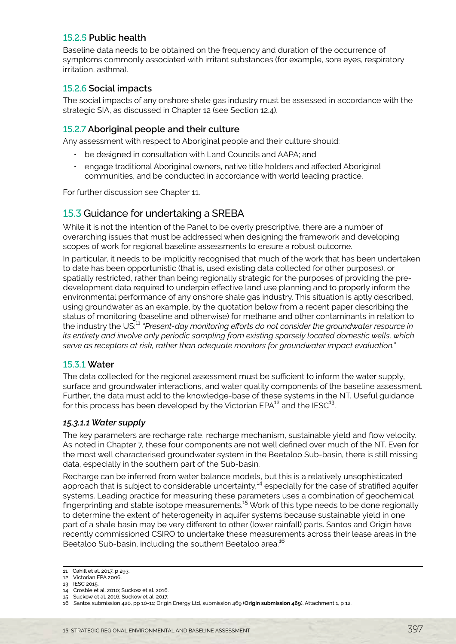### <span id="page-4-0"></span>15.2.5 **Public health**

Baseline data needs to be obtained on the frequency and duration of the occurrence of symptoms commonly associated with irritant substances (for example, sore eyes, respiratory irritation, asthma).

#### 15.2.6 **Social impacts**

The social impacts of any onshore shale gas industry must be assessed in accordance with the strategic SIA, as discussed in Chapter 12 (see Section 12.4).

#### 15.2.7 **Aboriginal people and their culture**

Any assessment with respect to Aboriginal people and their culture should:

- be designed in consultation with Land Councils and AAPA; and
- engage traditional Aboriginal owners, native title holders and affected Aboriginal communities, and be conducted in accordance with world leading practice.

For further discussion see Chapter 11.

### 15.3 Guidance for undertaking a SREBA

While it is not the intention of the Panel to be overly prescriptive, there are a number of overarching issues that must be addressed when designing the framework and developing scopes of work for regional baseline assessments to ensure a robust outcome.

In particular, it needs to be implicitly recognised that much of the work that has been undertaken to date has been opportunistic (that is, used existing data collected for other purposes), or spatially restricted, rather than being regionally strategic for the purposes of providing the predevelopment data required to underpin effective land use planning and to properly inform the environmental performance of any onshore shale gas industry. This situation is aptly described, using groundwater as an example, by the quotation below from a recent paper describing the status of monitoring (baseline and otherwise) for methane and other contaminants in relation to the industry the US.<sup>11</sup> "Present-day monitoring efforts do not consider the groundwater resource in *its entirety and involve only periodic sampling from existing sparsely located domestic wells, which serve as receptors at risk, rather than adequate monitors for groundwater impact evaluation."*

#### 15.3.1 **Water**

The data collected for the regional assessment must be sufficient to inform the water supply, surface and groundwater interactions, and water quality components of the baseline assessment. Further, the data must add to the knowledge-base of these systems in the NT. Useful guidance for this process has been developed by the Victorian EPA $^{12}$  and the IESC $^{13}$ .

#### *15.3.1.1 Water supply*

The key parameters are recharge rate, recharge mechanism, sustainable yield and flow velocity. As noted in Chapter 7, these four components are not well defined over much of the NT. Even for the most well characterised groundwater system in the Beetaloo Sub-basin, there is still missing data, especially in the southern part of the Sub-basin.

Recharge can be inferred from water balance models, but this is a relatively unsophisticated approach that is subject to considerable uncertainty,<sup>14</sup> especially for the case of stratified aquifer systems. Leading practice for measuring these parameters uses a combination of geochemical fingerprinting and stable isotope measurements.15 Work of this type needs to be done regionally to determine the extent of heterogeneity in aquifer systems because sustainable yield in one part of a shale basin may be very different to other (lower rainfall) parts. Santos and Origin have recently commissioned CSIRO to undertake these measurements across their lease areas in the Beetaloo Sub-basin, including the southern Beetaloo area.<sup>16</sup>

<sup>11</sup> Cahill et al. 2017, p 293. 12 Victorian EPA 2006.

<sup>13</sup> IESC 2015.

<sup>14</sup> Crosbie et al. 2010; Suckow et al. 2016. 15 Suckow et al. 2016; Suckow et al. 2017.

<sup>16</sup> Santos submission 420, pp 10-11; Origin Energy Ltd, submission 469 (**Origin submission 469**), Attachment 1, p 12.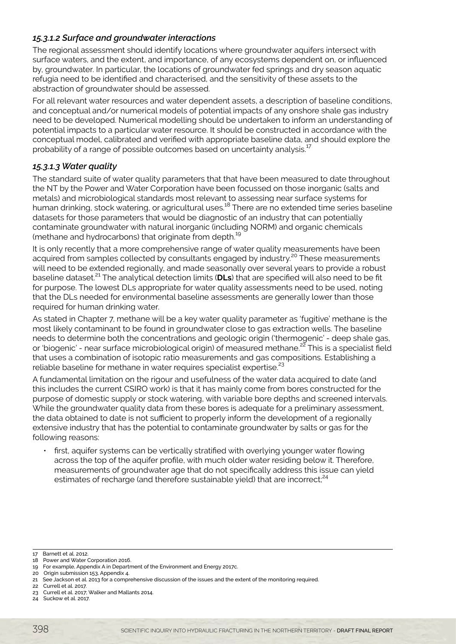### *15.3.1.2 Surface and groundwater interactions*

The regional assessment should identify locations where groundwater aquifers intersect with surface waters, and the extent, and importance, of any ecosystems dependent on, or influenced by, groundwater. In particular, the locations of groundwater fed springs and dry season aquatic refugia need to be identified and characterised, and the sensitivity of these assets to the abstraction of groundwater should be assessed.

For all relevant water resources and water dependent assets, a description of baseline conditions, and conceptual and/or numerical models of potential impacts of any onshore shale gas industry need to be developed. Numerical modelling should be undertaken to inform an understanding of potential impacts to a particular water resource. It should be constructed in accordance with the conceptual model, calibrated and verified with appropriate baseline data, and should explore the probability of a range of possible outcomes based on uncertainty analysis.<sup>17</sup>

#### *15.3.1.3 Water quality*

The standard suite of water quality parameters that that have been measured to date throughout the NT by the Power and Water Corporation have been focussed on those inorganic (salts and metals) and microbiological standards most relevant to assessing near surface systems for human drinking, stock watering, or agricultural uses.<sup>18</sup> There are no extended time series baseline datasets for those parameters that would be diagnostic of an industry that can potentially contaminate groundwater with natural inorganic (including NORM) and organic chemicals (methane and hydrocarbons) that originate from depth.<sup>19</sup>

It is only recently that a more comprehensive range of water quality measurements have been acquired from samples collected by consultants engaged by industry.<sup>20</sup> These measurements will need to be extended regionally, and made seasonally over several years to provide a robust baseline dataset.21 The analytical detection limits (**DLs**) that are specified will also need to be fit for purpose. The lowest DLs appropriate for water quality assessments need to be used, noting that the DLs needed for environmental baseline assessments are generally lower than those required for human drinking water.

As stated in Chapter 7, methane will be a key water quality parameter as 'fugitive' methane is the most likely contaminant to be found in groundwater close to gas extraction wells. The baseline needs to determine both the concentrations and geologic origin ('thermogenic' - deep shale gas, or 'biogenic' - near surface microbiological origin) of measured methane.<sup>22</sup> This is a specialist field that uses a combination of isotopic ratio measurements and gas compositions. Establishing a reliable baseline for methane in water requires specialist expertise.<sup>23</sup>

A fundamental limitation on the rigour and usefulness of the water data acquired to date (and this includes the current CSIRO work) is that it has mainly come from bores constructed for the purpose of domestic supply or stock watering, with variable bore depths and screened intervals. While the groundwater quality data from these bores is adequate for a preliminary assessment, the data obtained to date is not sufficient to properly inform the development of a regionally extensive industry that has the potential to contaminate groundwater by salts or gas for the following reasons:

• first, aquifer systems can be vertically stratified with overlying younger water flowing across the top of the aquifer profile, with much older water residing below it. Therefore, measurements of groundwater age that do not specifically address this issue can yield estimates of recharge (and therefore sustainable yield) that are incorrect;<sup>24</sup>

<sup>17</sup> Barnett et al. 2012.

<sup>18</sup> Power and Water Corporation 2016.

<sup>19</sup> For example, Appendix A in Department of the Environment and Energy 2017c.

<sup>20</sup> Origin submission 153, Appendix 4.

<sup>21</sup> See Jackson et al. 2013 for a comprehensive discussion of the issues and the extent of the monitoring required.

<sup>22</sup> Currell et al. 2017.

<sup>23</sup> Currell et al. 2017; Walker and Mallants 2014.

<sup>24</sup> Suckow et al. 2017.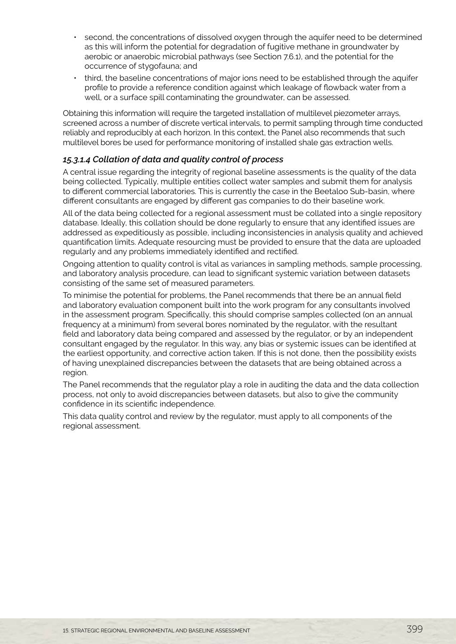- second, the concentrations of dissolved oxygen through the aquifer need to be determined as this will inform the potential for degradation of fugitive methane in groundwater by aerobic or anaerobic microbial pathways (see Section 7.6.1), and the potential for the occurrence of stygofauna; and
- third, the baseline concentrations of major ions need to be established through the aquifer profile to provide a reference condition against which leakage of flowback water from a well, or a surface spill contaminating the groundwater, can be assessed.

Obtaining this information will require the targeted installation of multilevel piezometer arrays, screened across a number of discrete vertical intervals, to permit sampling through time conducted reliably and reproducibly at each horizon. In this context, the Panel also recommends that such multilevel bores be used for performance monitoring of installed shale gas extraction wells.

### *15.3.1.4 Collation of data and quality control of process*

A central issue regarding the integrity of regional baseline assessments is the quality of the data being collected. Typically, multiple entities collect water samples and submit them for analysis to different commercial laboratories. This is currently the case in the Beetaloo Sub-basin, where different consultants are engaged by different gas companies to do their baseline work.

All of the data being collected for a regional assessment must be collated into a single repository database. Ideally, this collation should be done regularly to ensure that any identified issues are addressed as expeditiously as possible, including inconsistencies in analysis quality and achieved quantification limits. Adequate resourcing must be provided to ensure that the data are uploaded regularly and any problems immediately identified and rectified.

Ongoing attention to quality control is vital as variances in sampling methods, sample processing, and laboratory analysis procedure, can lead to significant systemic variation between datasets consisting of the same set of measured parameters.

To minimise the potential for problems, the Panel recommends that there be an annual field and laboratory evaluation component built into the work program for any consultants involved in the assessment program. Specifically, this should comprise samples collected (on an annual frequency at a minimum) from several bores nominated by the regulator, with the resultant field and laboratory data being compared and assessed by the regulator, or by an independent consultant engaged by the regulator. In this way, any bias or systemic issues can be identified at the earliest opportunity, and corrective action taken. If this is not done, then the possibility exists of having unexplained discrepancies between the datasets that are being obtained across a region.

The Panel recommends that the regulator play a role in auditing the data and the data collection process, not only to avoid discrepancies between datasets, but also to give the community confidence in its scientific independence.

This data quality control and review by the regulator, must apply to all components of the regional assessment.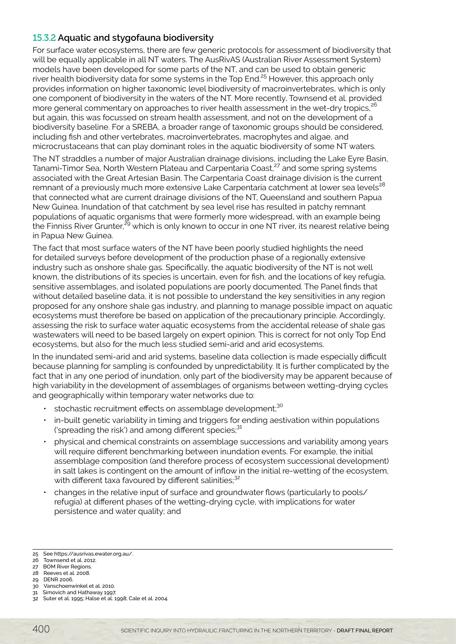# 15.3.2 **Aquatic and stygofauna biodiversity**

For surface water ecosystems, there are few generic protocols for assessment of biodiversity that will be equally applicable in all NT waters. The AusRivAS (Australian River Assessment System) models have been developed for some parts of the NT, and can be used to obtain generic river health biodiversity data for some systems in the Top End.<sup>25</sup> However, this approach only provides information on higher taxonomic level biodiversity of macroinvertebrates, which is only one component of biodiversity in the waters of the NT. More recently, Townsend et al. provided more general commentary on approaches to river health assessment in the wet-dry tropics,<sup>26</sup> but again, this was focussed on stream health assessment, and not on the development of a biodiversity baseline. For a SREBA, a broader range of taxonomic groups should be considered, including fish and other vertebrates, macroinvertebrates, macrophytes and algae, and microcrustaceans that can play dominant roles in the aquatic biodiversity of some NT waters.

The NT straddles a number of major Australian drainage divisions, including the Lake Eyre Basin, Tanami-Timor Sea, North Western Plateau and Carpentaria Coast,<sup>27</sup> and some spring systems associated with the Great Artesian Basin. The Carpentaria Coast drainage division is the current remnant of a previously much more extensive Lake Carpentaria catchment at lower sea levels<sup>28</sup> that connected what are current drainage divisions of the NT, Queensland and southern Papua New Guinea. Inundation of that catchment by sea level rise has resulted in patchy remnant populations of aquatic organisms that were formerly more widespread, with an example being the Finniss River Grunter,<sup>29</sup> which is only known to occur in one NT river, its nearest relative being in Papua New Guinea.

The fact that most surface waters of the NT have been poorly studied highlights the need for detailed surveys before development of the production phase of a regionally extensive industry such as onshore shale gas. Specifically, the aquatic biodiversity of the NT is not well known, the distributions of its species is uncertain, even for fish, and the locations of key refugia, sensitive assemblages, and isolated populations are poorly documented. The Panel finds that without detailed baseline data, it is not possible to understand the key sensitivities in any region proposed for any onshore shale gas industry, and planning to manage possible impact on aquatic ecosystems must therefore be based on application of the precautionary principle. Accordingly, assessing the risk to surface water aquatic ecosystems from the accidental release of shale gas wastewaters will need to be based largely on expert opinion. This is correct for not only Top End ecosystems, but also for the much less studied semi-arid and arid ecosystems.

In the inundated semi-arid and arid systems, baseline data collection is made especially difficult because planning for sampling is confounded by unpredictability. It is further complicated by the fact that in any one period of inundation, only part of the biodiversity may be apparent because of high variability in the development of assemblages of organisms between wetting-drying cycles and geographically within temporary water networks due to:

- stochastic recruitment effects on assemblage development;<sup>30</sup>
- in-built genetic variability in timing and triggers for ending aestivation within populations ('spreading the risk') and among different species; $31$
- physical and chemical constraints on assemblage successions and variability among years will require different benchmarking between inundation events. For example, the initial assemblage composition (and therefore process of ecosystem successional development) in salt lakes is contingent on the amount of inflow in the initial re-wetting of the ecosystem, with different taxa favoured by different salinities;<sup>32</sup>
- changes in the relative input of surface and groundwater flows (particularly to pools/ refugia) at different phases of the wetting-drying cycle, with implications for water persistence and water quality; and

<sup>25</sup> See https://ausrivas.ewater.org.au/.

<sup>26</sup> Townsend et al. 2012.

<sup>27</sup> BOM River Regions.

<sup>28</sup> Reeves et al. 2008.

<sup>29</sup> DENR 2006.

<sup>30</sup> Vanschoenwinkel et al. 2010.

<sup>31</sup> Simovich and Hathaway 1997.

<sup>32</sup> Suter et al. 1995; Halse et al. 1998; Cale et al. 2004.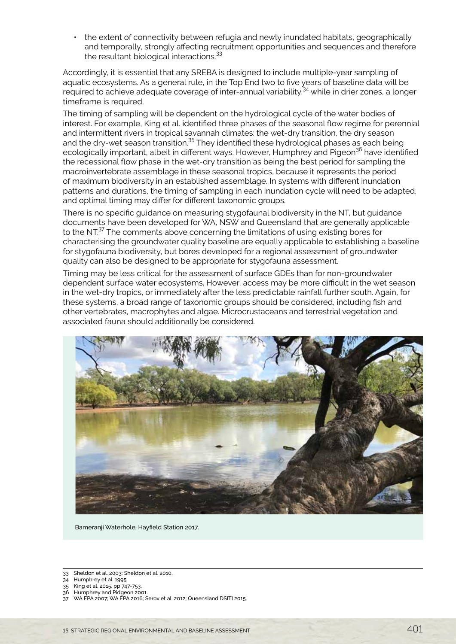• the extent of connectivity between refugia and newly inundated habitats, geographically and temporally, strongly affecting recruitment opportunities and sequences and therefore the resultant biological interactions.<sup>33</sup>

Accordingly, it is essential that any SREBA is designed to include multiple-year sampling of aquatic ecosystems. As a general rule, in the Top End two to five years of baseline data will be required to achieve adequate coverage of inter-annual variability.<sup>34</sup> while in drier zones, a longer timeframe is required.

The timing of sampling will be dependent on the hydrological cycle of the water bodies of interest. For example, King et al. identified three phases of the seasonal flow regime for perennial and intermittent rivers in tropical savannah climates: the wet-dry transition, the dry season and the dry-wet season transition.<sup>35</sup> They identified these hydrological phases as each being ecologically important, albeit in different ways. However, Humphrey and Pigeon<sup>36</sup> have identified the recessional flow phase in the wet-dry transition as being the best period for sampling the macroinvertebrate assemblage in these seasonal tropics, because it represents the period of maximum biodiversity in an established assemblage. In systems with different inundation patterns and durations, the timing of sampling in each inundation cycle will need to be adapted, and optimal timing may differ for different taxonomic groups.

There is no specific guidance on measuring stygofaunal biodiversity in the NT, but guidance documents have been developed for WA, NSW and Queensland that are generally applicable to the NT.37 The comments above concerning the limitations of using existing bores for characterising the groundwater quality baseline are equally applicable to establishing a baseline for stygofauna biodiversity, but bores developed for a regional assessment of groundwater quality can also be designed to be appropriate for stygofauna assessment.

Timing may be less critical for the assessment of surface GDEs than for non-groundwater dependent surface water ecosystems. However, access may be more difficult in the wet season in the wet-dry tropics, or immediately after the less predictable rainfall further south. Again, for these systems, a broad range of taxonomic groups should be considered, including fish and other vertebrates, macrophytes and algae. Microcrustaceans and terrestrial vegetation and associated fauna should additionally be considered.



Bameranji Waterhole, Hayfield Station 2017.

34 Humphrey et al. 1995.

<sup>33</sup> Sheldon et al. 2003; Sheldon et al. 2010.

<sup>35</sup> King et al. 2015, pp 747-753.

<sup>36</sup> Humphrey and Pidgeon 2001.

<sup>37</sup> WA EPA 2007; WA EPA 2016; Serov et al. 2012; Queensland DSITI 2015.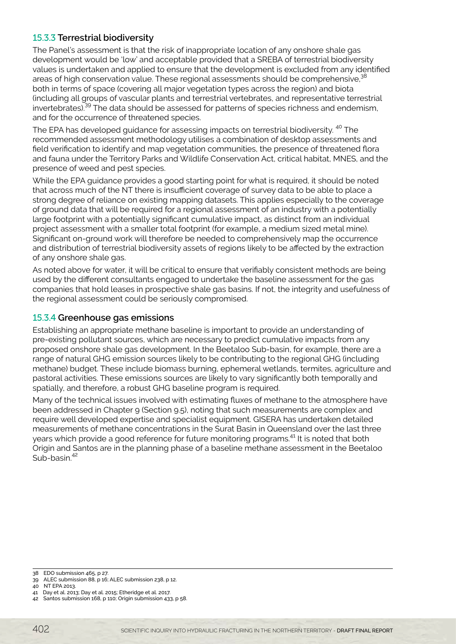# 15.3.3 **Terrestrial biodiversity**

The Panel's assessment is that the risk of inappropriate location of any onshore shale gas development would be 'low' and acceptable provided that a SREBA of terrestrial biodiversity values is undertaken and applied to ensure that the development is excluded from any identified areas of high conservation value. These regional assessments should be comprehensive,<sup>38</sup> both in terms of space (covering all major vegetation types across the region) and biota (including all groups of vascular plants and terrestrial vertebrates, and representative terrestrial invertebrates).39 The data should be assessed for patterns of species richness and endemism, and for the occurrence of threatened species.

The EPA has developed quidance for assessing impacts on terrestrial biodiversity. <sup>40</sup> The recommended assessment methodology utilises a combination of desktop assessments and field verification to identify and map vegetation communities, the presence of threatened flora and fauna under the Territory Parks and Wildlife Conservation Act, critical habitat, MNES, and the presence of weed and pest species.

While the EPA guidance provides a good starting point for what is required, it should be noted that across much of the NT there is insufficient coverage of survey data to be able to place a strong degree of reliance on existing mapping datasets. This applies especially to the coverage of ground data that will be required for a regional assessment of an industry with a potentially large footprint with a potentially significant cumulative impact, as distinct from an individual project assessment with a smaller total footprint (for example, a medium sized metal mine). Significant on-ground work will therefore be needed to comprehensively map the occurrence and distribution of terrestrial biodiversity assets of regions likely to be affected by the extraction of any onshore shale gas.

As noted above for water, it will be critical to ensure that verifiably consistent methods are being used by the different consultants engaged to undertake the baseline assessment for the gas companies that hold leases in prospective shale gas basins. If not, the integrity and usefulness of the regional assessment could be seriously compromised.

### 15.3.4 **Greenhouse gas emissions**

Establishing an appropriate methane baseline is important to provide an understanding of pre-existing pollutant sources, which are necessary to predict cumulative impacts from any proposed onshore shale gas development. In the Beetaloo Sub-basin, for example, there are a range of natural GHG emission sources likely to be contributing to the regional GHG (including methane) budget. These include biomass burning, ephemeral wetlands, termites, agriculture and pastoral activities. These emissions sources are likely to vary significantly both temporally and spatially, and therefore, a robust GHG baseline program is required.

Many of the technical issues involved with estimating fluxes of methane to the atmosphere have been addressed in Chapter 9 (Section 9.5), noting that such measurements are complex and require well developed expertise and specialist equipment. GISERA has undertaken detailed measurements of methane concentrations in the Surat Basin in Queensland over the last three years which provide a good reference for future monitoring programs.<sup>41</sup> It is noted that both Origin and Santos are in the planning phase of a baseline methane assessment in the Beetaloo Sub-basin<sup>42</sup>

<sup>38</sup> EDO submission 465, p 27.

<sup>39</sup> ALEC submission 88, p 16; ALEC submission 238, p 12.

<sup>40</sup> NT EPA 2013.

<sup>41</sup> Day et al. 2013; Day et al. 2015; Etheridge et al. 2017.

<sup>42</sup> Santos submission 168, p 110; Origin submission 433, p 58.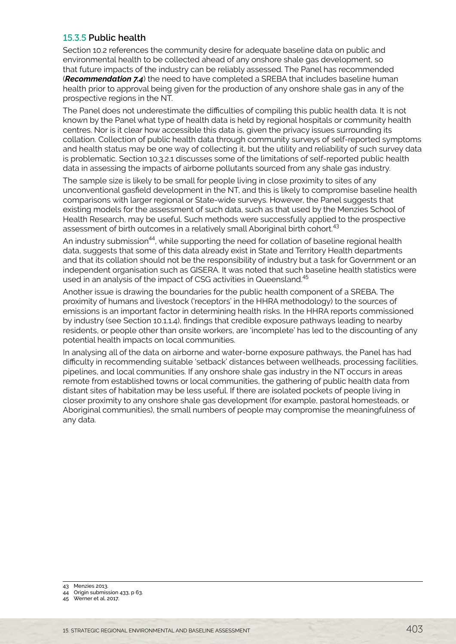#### 15.3.5 **Public health**

Section 10.2 references the community desire for adequate baseline data on public and environmental health to be collected ahead of any onshore shale gas development, so that future impacts of the industry can be reliably assessed. The Panel has recommended (*Recommendation 7.4*) the need to have completed a SREBA that includes baseline human health prior to approval being given for the production of any onshore shale gas in any of the prospective regions in the NT.

The Panel does not underestimate the difficulties of compiling this public health data. It is not known by the Panel what type of health data is held by regional hospitals or community health centres. Nor is it clear how accessible this data is, given the privacy issues surrounding its collation. Collection of public health data through community surveys of self-reported symptoms and health status may be one way of collecting it, but the utility and reliability of such survey data is problematic. Section 10.3.2.1 discusses some of the limitations of self-reported public health data in assessing the impacts of airborne pollutants sourced from any shale gas industry.

The sample size is likely to be small for people living in close proximity to sites of any unconventional gasfield development in the NT, and this is likely to compromise baseline health comparisons with larger regional or State-wide surveys. However, the Panel suggests that existing models for the assessment of such data, such as that used by the Menzies School of Health Research, may be useful. Such methods were successfully applied to the prospective assessment of birth outcomes in a relatively small Aboriginal birth cohort.<sup>43</sup>

An industry submission<sup>44</sup>, while supporting the need for collation of baseline regional health data, suggests that some of this data already exist in State and Territory Health departments and that its collation should not be the responsibility of industry but a task for Government or an independent organisation such as GISERA. It was noted that such baseline health statistics were used in an analysis of the impact of CSG activities in Queensland.<sup>45</sup>

Another issue is drawing the boundaries for the public health component of a SREBA. The proximity of humans and livestock ('receptors' in the HHRA methodology) to the sources of emissions is an important factor in determining health risks. In the HHRA reports commissioned by industry (see Section 10.1.1.4), findings that credible exposure pathways leading to nearby residents, or people other than onsite workers, are 'incomplete' has led to the discounting of any potential health impacts on local communities.

In analysing all of the data on airborne and water-borne exposure pathways, the Panel has had difficulty in recommending suitable 'setback' distances between wellheads, processing facilities, pipelines, and local communities. If any onshore shale gas industry in the NT occurs in areas remote from established towns or local communities, the gathering of public health data from distant sites of habitation may be less useful. If there are isolated pockets of people living in closer proximity to any onshore shale gas development (for example, pastoral homesteads, or Aboriginal communities), the small numbers of people may compromise the meaningfulness of any data.

43 Menzies 2013.

44 Origin submission 433, p 63.

45 Werner et al. 2017.